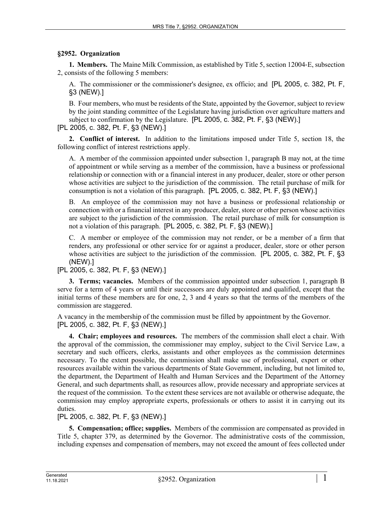## **§2952. Organization**

**1. Members.** The Maine Milk Commission, as established by Title 5, section 12004‑E, subsection 2, consists of the following 5 members:

A. The commissioner or the commissioner's designee, ex officio; and [PL 2005, c. 382, Pt. F, §3 (NEW).]

B. Four members, who must be residents of the State, appointed by the Governor, subject to review by the joint standing committee of the Legislature having jurisdiction over agriculture matters and subject to confirmation by the Legislature. [PL 2005, c. 382, Pt. F, §3 (NEW).]

[PL 2005, c. 382, Pt. F, §3 (NEW).]

**2. Conflict of interest.** In addition to the limitations imposed under Title 5, section 18, the following conflict of interest restrictions apply.

A. A member of the commission appointed under subsection 1, paragraph B may not, at the time of appointment or while serving as a member of the commission, have a business or professional relationship or connection with or a financial interest in any producer, dealer, store or other person whose activities are subject to the jurisdiction of the commission. The retail purchase of milk for consumption is not a violation of this paragraph. [PL 2005, c. 382, Pt. F, §3 (NEW).]

B. An employee of the commission may not have a business or professional relationship or connection with or a financial interest in any producer, dealer, store or other person whose activities are subject to the jurisdiction of the commission. The retail purchase of milk for consumption is not a violation of this paragraph. [PL 2005, c. 382, Pt. F, §3 (NEW).]

C. A member or employee of the commission may not render, or be a member of a firm that renders, any professional or other service for or against a producer, dealer, store or other person whose activities are subject to the jurisdiction of the commission. [PL 2005, c. 382, Pt. F, §3 (NEW).]

[PL 2005, c. 382, Pt. F, §3 (NEW).]

**3. Terms; vacancies.** Members of the commission appointed under subsection 1, paragraph B serve for a term of 4 years or until their successors are duly appointed and qualified, except that the initial terms of these members are for one, 2, 3 and 4 years so that the terms of the members of the commission are staggered.

A vacancy in the membership of the commission must be filled by appointment by the Governor. [PL 2005, c. 382, Pt. F, §3 (NEW).]

**4. Chair; employees and resources.** The members of the commission shall elect a chair. With the approval of the commission, the commissioner may employ, subject to the Civil Service Law, a secretary and such officers, clerks, assistants and other employees as the commission determines necessary. To the extent possible, the commission shall make use of professional, expert or other resources available within the various departments of State Government, including, but not limited to, the department, the Department of Health and Human Services and the Department of the Attorney General, and such departments shall, as resources allow, provide necessary and appropriate services at the request of the commission. To the extent these services are not available or otherwise adequate, the commission may employ appropriate experts, professionals or others to assist it in carrying out its duties.

## [PL 2005, c. 382, Pt. F, §3 (NEW).]

**5. Compensation; office; supplies.** Members of the commission are compensated as provided in Title 5, chapter 379, as determined by the Governor. The administrative costs of the commission, including expenses and compensation of members, may not exceed the amount of fees collected under